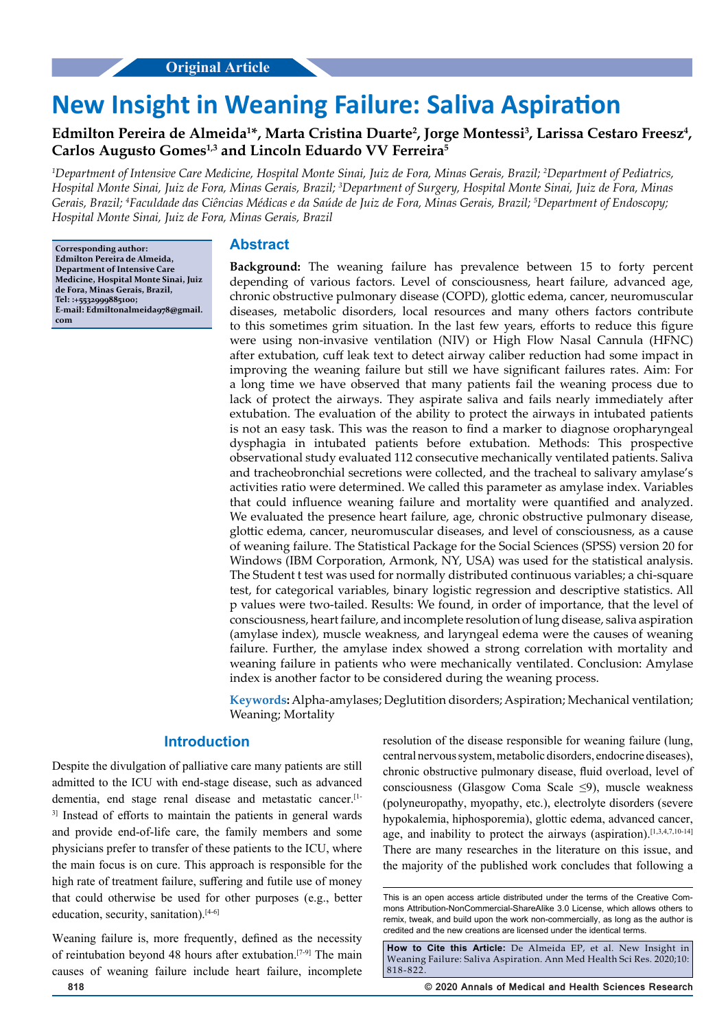# **New Insight in Weaning Failure: Saliva Aspiration**

## Edmilton Pereira de Almeida<sup>1\*</sup>, Marta Cristina Duarte<sup>2</sup>, Jorge Montessi<sup>3</sup>, Larissa Cestaro Freesz<sup>4</sup>, **Carlos Augusto Gomes1,3 and Lincoln Eduardo VV Ferreira5**

*1 Department of Intensive Care Medicine, Hospital Monte Sinai, Juiz de Fora, Minas Gerais, Brazil; 2 Department of Pediatrics, Hospital Monte Sinai, Juiz de Fora, Minas Gerais, Brazil; 3 Department of Surgery, Hospital Monte Sinai, Juiz de Fora, Minas Gerais, Brazil; 4 Faculdade das Ciências Médicas e da Saúde de Juiz de Fora, Minas Gerais, Brazil; 5 Department of Endoscopy; Hospital Monte Sinai, Juiz de Fora, Minas Gerais, Brazil*

**Corresponding author: Edmilton Pereira de Almeida, Department of Intensive Care Medicine, Hospital Monte Sinai, Juiz de Fora, Minas Gerais, Brazil, Tel: :+5532999885100; E-mail: Edmiltonalmeida978@gmail. com**

#### **Abstract**

**Background:** The weaning failure has prevalence between 15 to forty percent depending of various factors. Level of consciousness, heart failure, advanced age, chronic obstructive pulmonary disease (COPD), glottic edema, cancer, neuromuscular diseases, metabolic disorders, local resources and many others factors contribute to this sometimes grim situation. In the last few years, efforts to reduce this figure were using non-invasive ventilation (NIV) or High Flow Nasal Cannula (HFNC) after extubation, cuff leak text to detect airway caliber reduction had some impact in improving the weaning failure but still we have significant failures rates. Aim: For a long time we have observed that many patients fail the weaning process due to lack of protect the airways. They aspirate saliva and fails nearly immediately after extubation. The evaluation of the ability to protect the airways in intubated patients is not an easy task. This was the reason to find a marker to diagnose oropharyngeal dysphagia in intubated patients before extubation. Methods: This prospective observational study evaluated 112 consecutive mechanically ventilated patients. Saliva and tracheobronchial secretions were collected, and the tracheal to salivary amylase's activities ratio were determined. We called this parameter as amylase index. Variables that could influence weaning failure and mortality were quantified and analyzed. We evaluated the presence heart failure, age, chronic obstructive pulmonary disease, glottic edema, cancer, neuromuscular diseases, and level of consciousness, as a cause of weaning failure. The Statistical Package for the Social Sciences (SPSS) version 20 for Windows (IBM Corporation, Armonk, NY, USA) was used for the statistical analysis. The Student t test was used for normally distributed continuous variables; a chi-square test, for categorical variables, binary logistic regression and descriptive statistics. All p values were two-tailed. Results: We found, in order of importance, that the level of consciousness, heart failure, and incomplete resolution of lung disease, saliva aspiration (amylase index), muscle weakness, and laryngeal edema were the causes of weaning failure. Further, the amylase index showed a strong correlation with mortality and weaning failure in patients who were mechanically ventilated. Conclusion: Amylase index is another factor to be considered during the weaning process.

**Keywords:** Alpha-amylases; Deglutition disorders; Aspiration; Mechanical ventilation; Weaning; Mortality

#### **Introduction**

Despite the divulgation of palliative care many patients are still admitted to the ICU with end-stage disease, such as advanced dementia, end stage renal disease and metastatic cancer.[1- <sup>3]</sup> Instead of efforts to maintain the patients in general wards and provide end-of-life care, the family members and some physicians prefer to transfer of these patients to the ICU, where the main focus is on cure. This approach is responsible for the high rate of treatment failure, suffering and futile use of money that could otherwise be used for other purposes (e.g., better education, security, sanitation).<sup>[4-6]</sup>

Weaning failure is, more frequently, defined as the necessity of reintubation beyond 48 hours after extubation.[7-9] The main causes of weaning failure include heart failure, incomplete

resolution of the disease responsible for weaning failure (lung, central nervous system, metabolic disorders, endocrine diseases), chronic obstructive pulmonary disease, fluid overload, level of consciousness (Glasgow Coma Scale ≤9), muscle weakness (polyneuropathy, myopathy, etc.), electrolyte disorders (severe hypokalemia, hiphosporemia), glottic edema, advanced cancer, age, and inability to protect the airways (aspiration).<sup>[1,3,4,7,10-14]</sup> There are many researches in the literature on this issue, and the majority of the published work concludes that following a

**818 © 2020 Annals of Medical and Health Sciences Research** 

This is an open access article distributed under the terms of the Creative Commons Attribution‑NonCommercial‑ShareAlike 3.0 License, which allows others to remix, tweak, and build upon the work non‑commercially, as long as the author is credited and the new creations are licensed under the identical terms.

**How to Cite this Article:** De Almeida EP, et al. New Insight in Weaning Failure: Saliva Aspiration. Ann Med Health Sci Res. 2020;10: 818-822.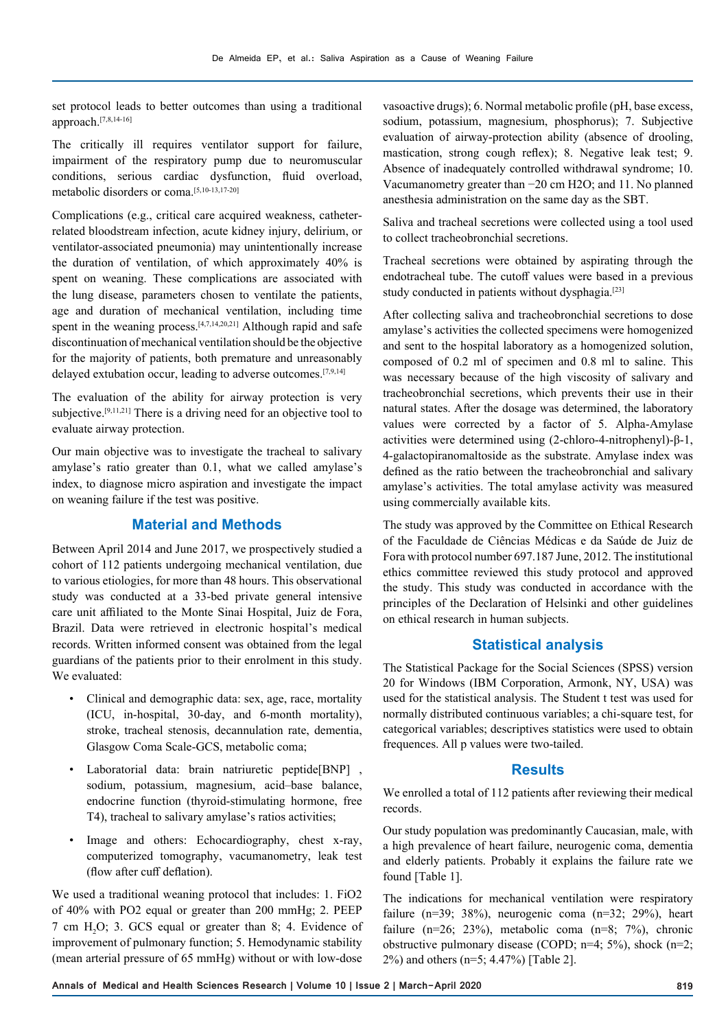set protocol leads to better outcomes than using a traditional approach.[7,8,14-16]

The critically ill requires ventilator support for failure, impairment of the respiratory pump due to neuromuscular conditions, serious cardiac dysfunction, fluid overload, metabolic disorders or coma.[5,10-13,17-20]

Complications (e.g., critical care acquired weakness, catheterrelated bloodstream infection, acute kidney injury, delirium, or ventilator-associated pneumonia) may unintentionally increase the duration of ventilation, of which approximately 40% is spent on weaning. These complications are associated with the lung disease, parameters chosen to ventilate the patients, age and duration of mechanical ventilation, including time spent in the weaning process. $[4,7,14,20,21]$  Although rapid and safe discontinuation of mechanical ventilation should be the objective for the majority of patients, both premature and unreasonably delayed extubation occur, leading to adverse outcomes.[7,9,14]

The evaluation of the ability for airway protection is very subjective.<sup>[9,11,21]</sup> There is a driving need for an objective tool to evaluate airway protection.

Our main objective was to investigate the tracheal to salivary amylase's ratio greater than 0.1, what we called amylase's index, to diagnose micro aspiration and investigate the impact on weaning failure if the test was positive.

#### **Material and Methods**

Between April 2014 and June 2017, we prospectively studied a cohort of 112 patients undergoing mechanical ventilation, due to various etiologies, for more than 48 hours. This observational study was conducted at a 33-bed private general intensive care unit affiliated to the Monte Sinai Hospital, Juiz de Fora, Brazil. Data were retrieved in electronic hospital's medical records. Written informed consent was obtained from the legal guardians of the patients prior to their enrolment in this study. We evaluated:

- Clinical and demographic data: sex, age, race, mortality (ICU, in-hospital, 30-day, and 6-month mortality), stroke, tracheal stenosis, decannulation rate, dementia, Glasgow Coma Scale-GCS, metabolic coma;
- Laboratorial data: brain natriuretic peptide[BNP] , sodium, potassium, magnesium, acid–base balance, endocrine function (thyroid-stimulating hormone, free T4), tracheal to salivary amylase's ratios activities;
- Image and others: Echocardiography, chest x-ray, computerized tomography, vacumanometry, leak test (flow after cuff deflation).

We used a traditional weaning protocol that includes: 1. FiO2 of 40% with PO2 equal or greater than 200 mmHg; 2. PEEP 7 cm  $H_2O$ ; 3. GCS equal or greater than 8; 4. Evidence of improvement of pulmonary function; 5. Hemodynamic stability (mean arterial pressure of 65 mmHg) without or with low-dose

vasoactive drugs); 6. Normal metabolic profile (pH, base excess, sodium, potassium, magnesium, phosphorus); 7. Subjective evaluation of airway-protection ability (absence of drooling, mastication, strong cough reflex); 8. Negative leak test; 9. Absence of inadequately controlled withdrawal syndrome; 10. Vacumanometry greater than −20 cm H2O; and 11. No planned anesthesia administration on the same day as the SBT.

Saliva and tracheal secretions were collected using a tool used to collect tracheobronchial secretions.

Tracheal secretions were obtained by aspirating through the endotracheal tube. The cutoff values were based in a previous study conducted in patients without dysphagia.[23]

After collecting saliva and tracheobronchial secretions to dose amylase's activities the collected specimens were homogenized and sent to the hospital laboratory as a homogenized solution, composed of 0.2 ml of specimen and 0.8 ml to saline. This was necessary because of the high viscosity of salivary and tracheobronchial secretions, which prevents their use in their natural states. After the dosage was determined, the laboratory values were corrected by a factor of 5. Alpha-Amylase activities were determined using (2-chloro-4-nitrophenyl)-β-1, 4-galactopiranomaltoside as the substrate. Amylase index was defined as the ratio between the tracheobronchial and salivary amylase's activities. The total amylase activity was measured using commercially available kits.

The study was approved by the Committee on Ethical Research of the Faculdade de Ciências Médicas e da Saúde de Juiz de Fora with protocol number 697.187 June, 2012. The institutional ethics committee reviewed this study protocol and approved the study. This study was conducted in accordance with the principles of the Declaration of Helsinki and other guidelines on ethical research in human subjects.

#### **Statistical analysis**

The Statistical Package for the Social Sciences (SPSS) version 20 for Windows (IBM Corporation, Armonk, NY, USA) was used for the statistical analysis. The Student t test was used for normally distributed continuous variables; a chi-square test, for categorical variables; descriptives statistics were used to obtain frequences. All p values were two-tailed.

### **Results**

We enrolled a total of 112 patients after reviewing their medical records.

Our study population was predominantly Caucasian, male, with a high prevalence of heart failure, neurogenic coma, dementia and elderly patients. Probably it explains the failure rate we found [Table 1].

The indications for mechanical ventilation were respiratory failure (n=39; 38%), neurogenic coma (n=32; 29%), heart failure (n=26; 23%), metabolic coma (n=8; 7%), chronic obstructive pulmonary disease (COPD; n=4; 5%), shock (n=2; 2%) and others (n=5; 4.47%) [Table 2].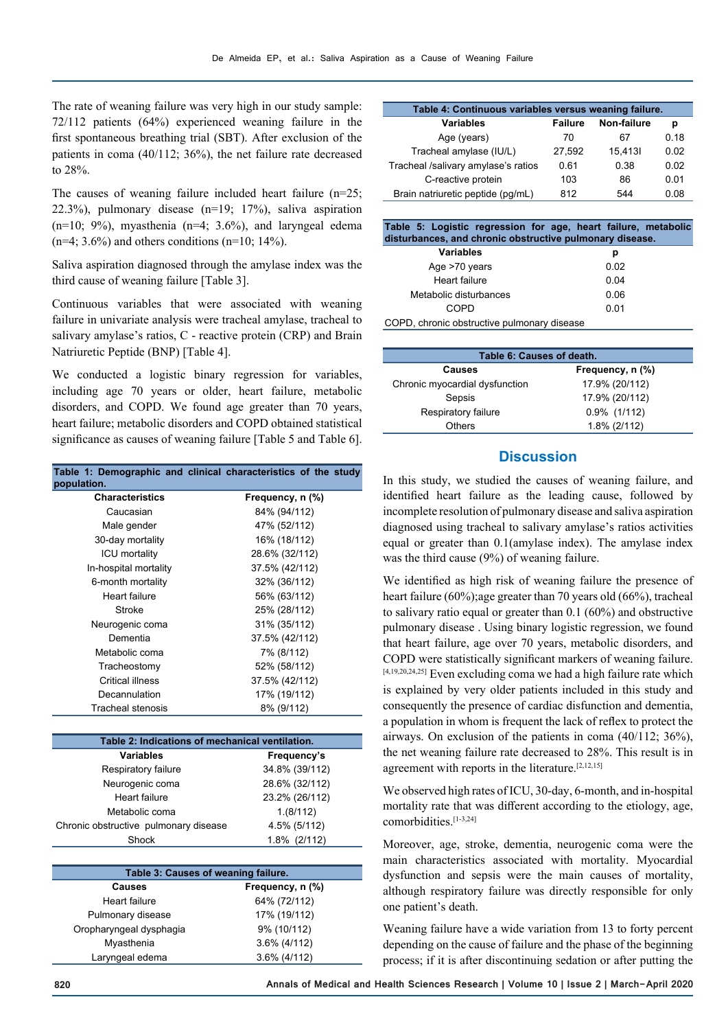The rate of weaning failure was very high in our study sample: 72/112 patients (64%) experienced weaning failure in the first spontaneous breathing trial (SBT). After exclusion of the patients in coma (40/112; 36%), the net failure rate decreased to 28%.

The causes of weaning failure included heart failure (n=25; 22.3%), pulmonary disease (n=19; 17%), saliva aspiration  $(n=10; 9\%)$ , myasthenia  $(n=4; 3.6\%)$ , and laryngeal edema  $(n=4; 3.6\%)$  and others conditions  $(n=10; 14\%)$ .

Saliva aspiration diagnosed through the amylase index was the third cause of weaning failure [Table 3].

Continuous variables that were associated with weaning failure in univariate analysis were tracheal amylase, tracheal to salivary amylase's ratios, C - reactive protein (CRP) and Brain Natriuretic Peptide (BNP) [Table 4].

We conducted a logistic binary regression for variables, including age 70 years or older, heart failure, metabolic disorders, and COPD. We found age greater than 70 years, heart failure; metabolic disorders and COPD obtained statistical significance as causes of weaning failure [Table 5 and Table 6].

| Table 1: Demographic and clinical characteristics of the study<br>population. |                  |  |  |
|-------------------------------------------------------------------------------|------------------|--|--|
| <b>Characteristics</b>                                                        | Frequency, n (%) |  |  |
| Caucasian                                                                     | 84% (94/112)     |  |  |
| Male gender                                                                   | 47% (52/112)     |  |  |
| 30-day mortality                                                              | 16% (18/112)     |  |  |
| <b>ICU mortality</b>                                                          | 28.6% (32/112)   |  |  |
| In-hospital mortality                                                         | 37.5% (42/112)   |  |  |
| 6-month mortality                                                             | 32% (36/112)     |  |  |
| Heart failure                                                                 | 56% (63/112)     |  |  |
| Stroke                                                                        | 25% (28/112)     |  |  |
| Neurogenic coma                                                               | 31% (35/112)     |  |  |
| Dementia                                                                      | 37.5% (42/112)   |  |  |
| Metabolic coma                                                                | 7% (8/112)       |  |  |
| Tracheostomy                                                                  | 52% (58/112)     |  |  |
| Critical illness                                                              | 37.5% (42/112)   |  |  |
| Decannulation                                                                 | 17% (19/112)     |  |  |
| Tracheal stenosis                                                             | 8% (9/112)       |  |  |
|                                                                               |                  |  |  |
| Table 2: Indications of mechanical ventilation                                |                  |  |  |

| Table 2: Indications of mechanical ventilation. |                |  |
|-------------------------------------------------|----------------|--|
| <b>Variables</b>                                | Frequency's    |  |
| Respiratory failure                             | 34.8% (39/112) |  |
| Neurogenic coma                                 | 28.6% (32/112) |  |
| Heart failure                                   | 23.2% (26/112) |  |
| Metabolic coma                                  | 1.(8/112)      |  |
| Chronic obstructive pulmonary disease           | 4.5% (5/112)   |  |
| Shock                                           | 1.8% (2/112)   |  |

| Table 3: Causes of weaning failure. |                  |  |  |
|-------------------------------------|------------------|--|--|
| Causes                              | Frequency, n (%) |  |  |
| Heart failure                       | 64% (72/112)     |  |  |
| Pulmonary disease                   | 17% (19/112)     |  |  |
| Oropharyngeal dysphagia             | 9% (10/112)      |  |  |
| Myasthenia                          | $3.6\%$ (4/112)  |  |  |
| Laryngeal edema                     | $3.6\%$ (4/112)  |  |  |

| Table 4: Continuous variables versus weaning failure. |                |             |      |
|-------------------------------------------------------|----------------|-------------|------|
| <b>Variables</b>                                      | <b>Failure</b> | Non-failure | р    |
| Age (years)                                           | 70             | 67          | 0.18 |
| Tracheal amylase (IU/L)                               | 27,592         | 15.4131     | 0.02 |
| Tracheal /salivary amylase's ratios                   | 0.61           | 0.38        | 0.02 |
| C-reactive protein                                    | 103            | 86          | 0.01 |
| Brain natriuretic peptide (pg/mL)                     | 812            | 544         | 0 08 |

**Table 5: Logistic regression for age, heart failure, metabolic disturbances, and chronic obstructive pulmonary disease.**

| Variables                                                                         | р    |
|-----------------------------------------------------------------------------------|------|
| Age >70 years                                                                     | 0.02 |
| Heart failure                                                                     | 0.04 |
| Metabolic disturbances                                                            | 0.06 |
| COPD                                                                              | 0.01 |
| $\sim$ nn<br>a bandar da sa bandar da daba da sa dalawa da sa sa sa 19 da da da d |      |

COPD, chronic obstructive pulmonary disease

| Table 6: Causes of death.      |                     |  |  |
|--------------------------------|---------------------|--|--|
| Causes                         | Frequency, n (%)    |  |  |
| Chronic myocardial dysfunction | 17.9% (20/112)      |  |  |
| Sepsis                         | 17.9% (20/112)      |  |  |
| Respiratory failure            | $0.9\%$ (1/112)     |  |  |
| Others                         | $1.8\%$ ( $2/112$ ) |  |  |

#### **Discussion**

In this study, we studied the causes of weaning failure, and identified heart failure as the leading cause, followed by incomplete resolution of pulmonary disease and saliva aspiration diagnosed using tracheal to salivary amylase's ratios activities equal or greater than 0.1(amylase index). The amylase index was the third cause (9%) of weaning failure.

We identified as high risk of weaning failure the presence of heart failure (60%);age greater than 70 years old (66%), tracheal to salivary ratio equal or greater than 0.1 (60%) and obstructive pulmonary disease . Using binary logistic regression, we found that heart failure, age over 70 years, metabolic disorders, and COPD were statistically significant markers of weaning failure. [4,19,20,24,25] Even excluding coma we had a high failure rate which is explained by very older patients included in this study and consequently the presence of cardiac disfunction and dementia, a population in whom is frequent the lack of reflex to protect the airways. On exclusion of the patients in coma (40/112; 36%), the net weaning failure rate decreased to 28%. This result is in agreement with reports in the literature.<sup>[2,12,15]</sup>

We observed high rates of ICU, 30-day, 6-month, and in-hospital mortality rate that was different according to the etiology, age, comorbidities.[1-3,24]

Moreover, age, stroke, dementia, neurogenic coma were the main characteristics associated with mortality. Myocardial dysfunction and sepsis were the main causes of mortality, although respiratory failure was directly responsible for only one patient's death.

Weaning failure have a wide variation from 13 to forty percent depending on the cause of failure and the phase of the beginning process; if it is after discontinuing sedation or after putting the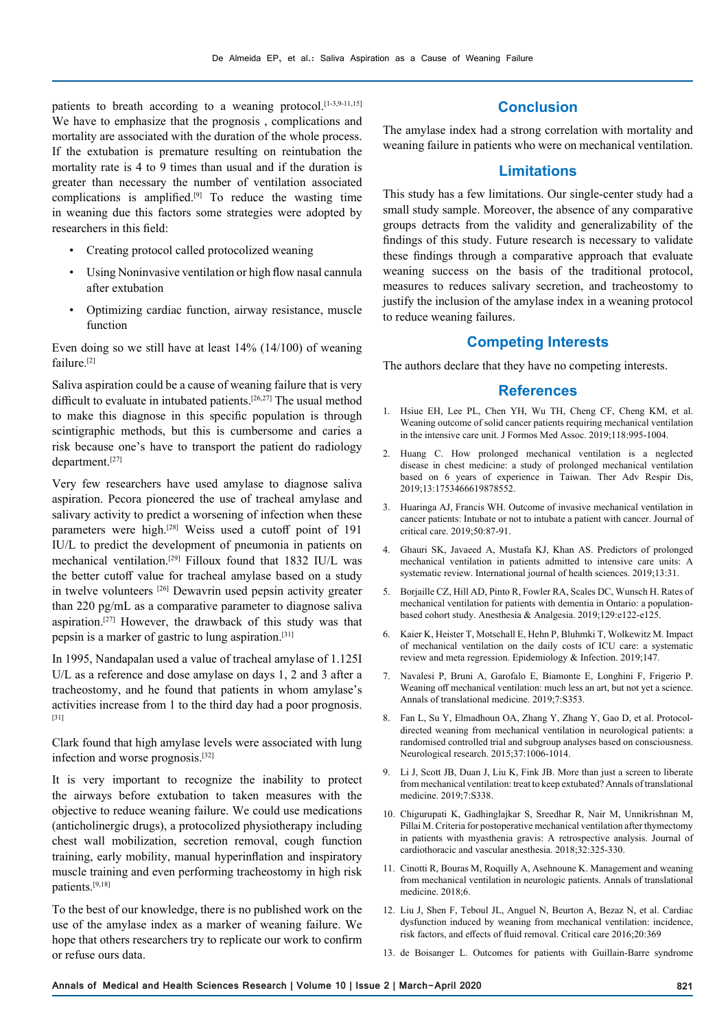patients to breath according to a weaning protocol.<sup>[1-3,9-11,15]</sup> We have to emphasize that the prognosis , complications and mortality are associated with the duration of the whole process. If the extubation is premature resulting on reintubation the mortality rate is 4 to 9 times than usual and if the duration is greater than necessary the number of ventilation associated complications is amplified.<sup>[9]</sup> To reduce the wasting time in weaning due this factors some strategies were adopted by researchers in this field:

- Creating protocol called protocolized weaning
- Using Noninvasive ventilation or high flow nasal cannula after extubation
- Optimizing cardiac function, airway resistance, muscle function

Even doing so we still have at least 14% (14/100) of weaning failure.<sup>[2]</sup>

Saliva aspiration could be a cause of weaning failure that is very difficult to evaluate in intubated patients.<sup>[26,27]</sup> The usual method to make this diagnose in this specific population is through scintigraphic methods, but this is cumbersome and caries a risk because one's have to transport the patient do radiology department.[27]

Very few researchers have used amylase to diagnose saliva aspiration. Pecora pioneered the use of tracheal amylase and salivary activity to predict a worsening of infection when these parameters were high.[28] Weiss used a cutoff point of 191 IU/L to predict the development of pneumonia in patients on mechanical ventilation.[29] Filloux found that 1832 IU/L was the better cutoff value for tracheal amylase based on a study in twelve volunteers [26] Dewavrin used pepsin activity greater than 220 pg/mL as a comparative parameter to diagnose saliva aspiration.[27] However, the drawback of this study was that pepsin is a marker of gastric to lung aspiration.[31]

In 1995, Nandapalan used a value of tracheal amylase of 1.125I U/L as a reference and dose amylase on days 1, 2 and 3 after a tracheostomy, and he found that patients in whom amylase's activities increase from 1 to the third day had a poor prognosis. [31]

Clark found that high amylase levels were associated with lung infection and worse prognosis.[32]

It is very important to recognize the inability to protect the airways before extubation to taken measures with the objective to reduce weaning failure. We could use medications (anticholinergic drugs), a protocolized physiotherapy including chest wall mobilization, secretion removal, cough function training, early mobility, manual hyperinflation and inspiratory muscle training and even performing tracheostomy in high risk patients.[9,18]

To the best of our knowledge, there is no published work on the use of the amylase index as a marker of weaning failure. We hope that others researchers try to replicate our work to confirm or refuse ours data.

## **Conclusion**

The amylase index had a strong correlation with mortality and weaning failure in patients who were on mechanical ventilation.

## **Limitations**

This study has a few limitations. Our single-center study had a small study sample. Moreover, the absence of any comparative groups detracts from the validity and generalizability of the findings of this study. Future research is necessary to validate these findings through a comparative approach that evaluate weaning success on the basis of the traditional protocol, measures to reduces salivary secretion, and tracheostomy to justify the inclusion of the amylase index in a weaning protocol to reduce weaning failures.

## **Competing Interests**

The authors declare that they have no competing interests.

#### **References**

- 1. Hsiue EH, Lee PL, Chen YH, Wu TH, Cheng CF, Cheng KM, et al. Weaning outcome of solid cancer patients requiring mechanical ventilation in the intensive care unit. J Formos Med Assoc. 2019;118:995-1004.
- 2. Huang C. How prolonged mechanical ventilation is a neglected disease in chest medicine: a study of prolonged mechanical ventilation based on 6 years of experience in Taiwan. Ther Adv Respir Dis, 2019;13:1753466619878552.
- 3. Huaringa AJ, Francis WH. Outcome of invasive mechanical ventilation in cancer patients: Intubate or not to intubate a patient with cancer. Journal of critical care. 2019;50:87-91.
- 4. Ghauri SK, Javaeed A, Mustafa KJ, Khan AS. Predictors of prolonged mechanical ventilation in patients admitted to intensive care units: A systematic review. International journal of health sciences. 2019;13:31.
- 5. Borjaille CZ, Hill AD, Pinto R, Fowler RA, Scales DC, Wunsch H. Rates of mechanical ventilation for patients with dementia in Ontario: a populationbased cohort study. Anesthesia & Analgesia. 2019;129:e122-e125.
- 6. Kaier K, Heister T, Motschall E, Hehn P, Bluhmki T, Wolkewitz M. Impact of mechanical ventilation on the daily costs of ICU care: a systematic review and meta regression. Epidemiology & Infection. 2019;147.
- 7. Navalesi P, Bruni A, Garofalo E, Biamonte E, Longhini F, Frigerio P. Weaning off mechanical ventilation: much less an art, but not yet a science. Annals of translational medicine. 2019;7:S353.
- 8. Fan L, Su Y, Elmadhoun OA, Zhang Y, Zhang Y, Gao D, et al. Protocoldirected weaning from mechanical ventilation in neurological patients: a randomised controlled trial and subgroup analyses based on consciousness. Neurological research. 2015;37:1006-1014.
- 9. Li J, Scott JB, Duan J, Liu K, Fink JB. More than just a screen to liberate from mechanical ventilation: treat to keep extubated? Annals of translational medicine. 2019;7:S338.
- 10. Chigurupati K, Gadhinglajkar S, Sreedhar R, Nair M, Unnikrishnan M, Pillai M. Criteria for postoperative mechanical ventilation after thymectomy in patients with myasthenia gravis: A retrospective analysis. Journal of cardiothoracic and vascular anesthesia. 2018;32:325-330.
- 11. Cinotti R, Bouras M, Roquilly A, Asehnoune K. Management and weaning from mechanical ventilation in neurologic patients. Annals of translational medicine. 2018;6.
- 12. Liu J, Shen F, Teboul JL, Anguel N, Beurton A, Bezaz N, et al. Cardiac dysfunction induced by weaning from mechanical ventilation: incidence, risk factors, and effects of fluid removal. Critical care 2016;20:369
- 13. de Boisanger L. Outcomes for patients with Guillain-Barre syndrome